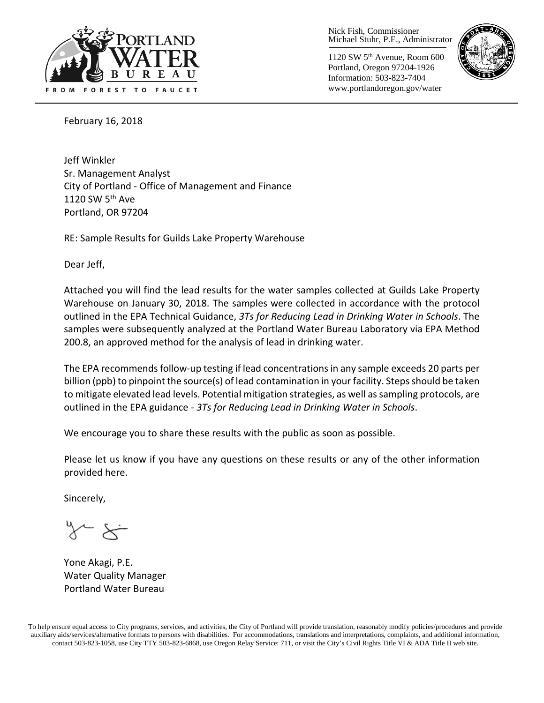

Nick Fish, Commissioner Michael Stuhr, P.E., Administrator

1120 SW 5th Avenue, Room 600 Portland, Oregon 97204-1926 Information: 503-823-7404 www.portlandoregon.gov/water



February 16, 2018

Jeff Winkler Sr. Management Analyst City of Portland - Office of Management and Finance 1120 SW 5<sup>th</sup> Ave Portland, OR 97204

RE: Sample Results for Guilds Lake Property Warehouse

Dear Jeff,

Attached you will find the lead results for the water samples collected at Guilds Lake Property Warehouse on January 30, 2018. The samples were collected in accordance with the protocol outlined in the EPA Technical Guidance, *3Ts for Reducing Lead in Drinking Water in Schools*. The samples were subsequently analyzed at the Portland Water Bureau Laboratory via EPA Method 200.8, an approved method for the analysis of lead in drinking water.

The EPA recommends follow-up testing if lead concentrations in any sample exceeds 20 parts per billion (ppb) to pinpoint the source(s) of lead contamination in your facility. Steps should be taken to mitigate elevated lead levels. Potential mitigation strategies, as well as sampling protocols, are outlined in the EPA guidance - *3Ts for Reducing Lead in Drinking Water in Schools*.

We encourage you to share these results with the public as soon as possible.

Please let us know if you have any questions on these results or any of the other information provided here.

Sincerely,

Yone Akagi, P.E. Water Quality Manager Portland Water Bureau

To help ensure equal access to City programs, services, and activities, the City of Portland will provide translation, reasonably modify policies/procedures and provide auxiliary aids/services/alternative formats to persons with disabilities. For accommodations, translations and interpretations, complaints, and additional information, contact 503-823-1058, use City TTY 503-823-6868, use Oregon Relay Service: 711, or visi[t the City's Civil Rights Title VI & ADA Title II web site.](http://www.portlandoregon.gov/oehr/66458)